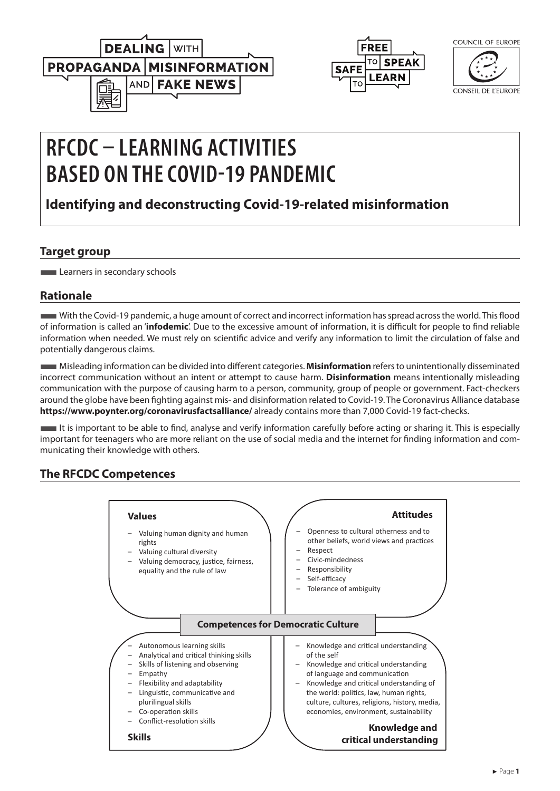



| COUNCIL OF EUROPE   |
|---------------------|
|                     |
|                     |
|                     |
| conseil de l'europe |

# **RFCDC – LEARNING ACTIVITIES BASED ON THE COVID-19 PANDEMIC**

# **Identifying and deconstructing Covid-19-related misinformation**

# **Target group**

**Learners in secondary schools** 

# **Rationale**

■With the Covid-19 pandemic, a huge amount of correct and incorrect information has spread across the world. This flood of information is called an '**infodemic**'. Due to the excessive amount of information, it is difficult for people to find reliable information when needed. We must rely on scientific advice and verify any information to limit the circulation of false and potentially dangerous claims.

■Misleading information can be divided into different categories. **Misinformation** refers to unintentionally disseminated incorrect communication without an intent or attempt to cause harm. **Disinformation** means intentionally misleading communication with the purpose of causing harm to a person, community, group of people or government. Fact-checkers around the globe have been fighting against mis- and disinformation related to Covid-19. The Coronavirus Alliance database **<https://www.poynter.org/coronavirusfactsalliance/>** already contains more than 7,000 Covid-19 fact-checks.

■It is important to be able to find, analyse and verify information carefully before acting or sharing it. This is especially important for teenagers who are more reliant on the use of social media and the internet for finding information and communicating their knowledge with others.

# **The RFCDC Competences**

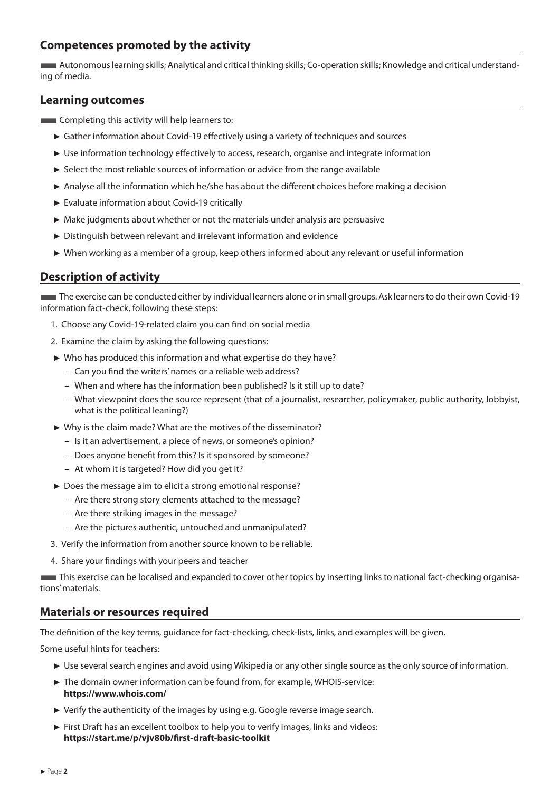# **Competences promoted by the activity**

■Autonomous learning skills; Analytical and critical thinking skills; Co-operation skills; Knowledge and critical understanding of media.

#### **Learning outcomes**

- **Example 1** Completing this activity will help learners to:
	- ► Gather information about Covid-19 effectively using a variety of techniques and sources
	- ► Use information technology effectively to access, research, organise and integrate information
	- ► Select the most reliable sources of information or advice from the range available
	- ► Analyse all the information which he/she has about the different choices before making a decision
	- ► Evaluate information about Covid-19 critically
	- ► Make judgments about whether or not the materials under analysis are persuasive
	- ► Distinguish between relevant and irrelevant information and evidence
	- ► When working as a member of a group, keep others informed about any relevant or useful information

# **Description of activity**

■The exercise can be conducted either by individual learners alone or in small groups. Ask learners to do their own Covid-19 information fact-check, following these steps:

- 1. Choose any Covid-19-related claim you can find on social media
- 2. Examine the claim by asking the following questions:
- ► Who has produced this information and what expertise do they have?
	- Can you find the writers' names or a reliable web address?
	- When and where has the information been published? Is it still up to date?
	- What viewpoint does the source represent (that of a journalist, researcher, policymaker, public authority, lobbyist, what is the political leaning?)
- ► Why is the claim made? What are the motives of the disseminator?
	- Is it an advertisement, a piece of news, or someone's opinion?
	- Does anyone benefit from this? Is it sponsored by someone?
	- At whom it is targeted? How did you get it?
- ► Does the message aim to elicit a strong emotional response?
	- Are there strong story elements attached to the message?
	- Are there striking images in the message?
	- Are the pictures authentic, untouched and unmanipulated?
- 3. Verify the information from another source known to be reliable.
- 4. Share your findings with your peers and teacher

■This exercise can be localised and expanded to cover other topics by inserting links to national fact-checking organisations' materials.

#### **Materials or resources required**

The definition of the key terms, guidance for fact-checking, check-lists, links, and examples will be given.

Some useful hints for teachers:

- ► Use several search engines and avoid using Wikipedia or any other single source as the only source of information.
- ► The domain owner information can be found from, for example, WHOIS-service: **https://www.whois.com/**
- ► Verify the authenticity of the images by using e.g. Google reverse image search.
- ► First Draft has an excellent toolbox to help you to verify images, links and videos: **https://start.me/p/vjv80b/first-draft-basic-toolkit**